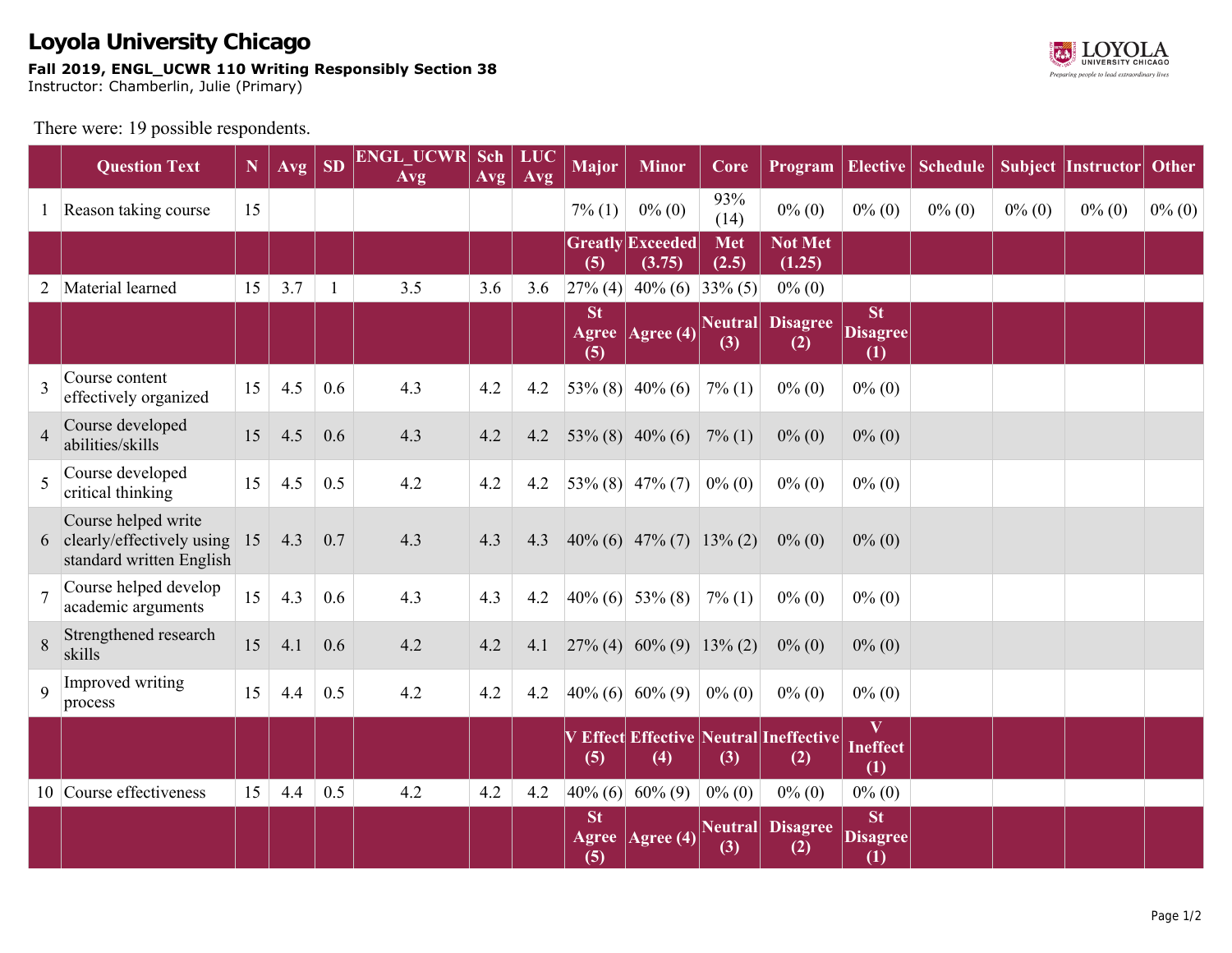

There were: 19 possible respondents.

|                | <b>Question Text</b>                                                           | $\mathbf N$ | Avg | <b>SD</b>    | <b>ENGL UCWR Sch</b><br><b>Avg</b> | Avg | <b>LUC</b><br>Avg | <b>Major</b>     | <b>Minor</b>                                                         | Core                |                                               |                                     | <b>Program   Elective   Schedule</b> |           | Subject Instructor | Other     |
|----------------|--------------------------------------------------------------------------------|-------------|-----|--------------|------------------------------------|-----|-------------------|------------------|----------------------------------------------------------------------|---------------------|-----------------------------------------------|-------------------------------------|--------------------------------------|-----------|--------------------|-----------|
|                | Reason taking course                                                           | 15          |     |              |                                    |     |                   | $7\%$ (1)        | $0\%$ (0)                                                            | 93%<br>(14)         | $0\%$ (0)                                     | $0\%$ (0)                           | $0\%$ (0)                            | $0\%$ (0) | $0\%$ (0)          | $0\%$ (0) |
|                |                                                                                |             |     |              |                                    |     |                   | (5)              | <b>Greatly Exceeded</b><br>(3.75)                                    | <b>Met</b><br>(2.5) | <b>Not Met</b><br>(1.25)                      |                                     |                                      |           |                    |           |
| $\overline{2}$ | Material learned                                                               | 15          | 3.7 | $\mathbf{1}$ | 3.5                                | 3.6 | 3.6               |                  | $\begin{bmatrix} 27\% & (4) & 40\% & (6) & 33\% & (5) \end{bmatrix}$ |                     | $0\%$ (0)                                     |                                     |                                      |           |                    |           |
|                |                                                                                |             |     |              |                                    |     |                   | <b>St</b><br>(5) | Agree   Agree (4)                                                    | Neutral<br>(3)      | <b>Disagree</b><br>(2)                        | <b>St</b><br><b>Disagree</b><br>(1) |                                      |           |                    |           |
|                | Course content<br>effectively organized                                        | 15          | 4.5 | 0.6          | 4.3                                | 4.2 | 4.2               |                  | $53\%$ (8) 40% (6)                                                   | $7\%$ (1)           | $0\%$ (0)                                     | $0\%$ (0)                           |                                      |           |                    |           |
| $\overline{4}$ | Course developed<br>abilities/skills                                           | 15          | 4.5 | 0.6          | 4.3                                | 4.2 | 4.2               |                  | $53\%$ (8) 40% (6) 7% (1)                                            |                     | $0\%$ (0)                                     | $0\%$ (0)                           |                                      |           |                    |           |
| 5              | Course developed<br>critical thinking                                          | 15          | 4.5 | 0.5          | 4.2                                | 4.2 | 4.2               |                  | $53\%$ (8) 47\% (7) 0\% (0)                                          |                     | $0\%$ (0)                                     | $0\%$ (0)                           |                                      |           |                    |           |
|                | Course helped write<br>6 clearly/effectively using<br>standard written English | 15          | 4.3 | 0.7          | 4.3                                | 4.3 | 4.3               |                  | $ 40\% (6)$ 47\% (7) 13\% (2)                                        |                     | $0\%$ (0)                                     | $0\%$ (0)                           |                                      |           |                    |           |
|                | Course helped develop<br>academic arguments                                    | 15          | 4.3 | 0.6          | 4.3                                | 4.3 | 4.2               |                  | $40\%$ (6) 53\% (8)                                                  | $7\%$ (1)           | $0\%$ (0)                                     | $0\%$ (0)                           |                                      |           |                    |           |
| 8              | Strengthened research<br>skills                                                | 15          | 4.1 | 0.6          | 4.2                                | 4.2 | 4.1               |                  | $\begin{bmatrix} 27\% & (4) & 60\% & (9) & 13\% & (2) \end{bmatrix}$ |                     | $0\%$ (0)                                     | $0\%$ (0)                           |                                      |           |                    |           |
| $\mathbf Q$    | Improved writing<br>process                                                    | 15          | 4.4 | 0.5          | 4.2                                | 4.2 | 4.2               |                  | $40\%$ (6) 60% (9) 0% (0)                                            |                     | $0\%$ (0)                                     | $0\% (0)$                           |                                      |           |                    |           |
|                |                                                                                |             |     |              |                                    |     |                   | (5)              | (4)                                                                  | (3)                 | V Effect Effective Neutral Ineffective<br>(2) | $\bf{V}$<br><b>Ineffect</b><br>(1)  |                                      |           |                    |           |
|                | 10 Course effectiveness                                                        | 15          | 4.4 | 0.5          | 4.2                                | 4.2 | 4.2               |                  | $40\%$ (6) 60% (9)                                                   | $0\%$ (0)           | $0\%$ (0)                                     | $0\%$ (0)                           |                                      |           |                    |           |
|                |                                                                                |             |     |              |                                    |     |                   | <b>St</b><br>(5) | Agree   Agree (4)                                                    | (3)                 | <b>Neutral Disagree</b><br>(2)                | <b>St</b><br><b>Disagree</b><br>(1) |                                      |           |                    |           |